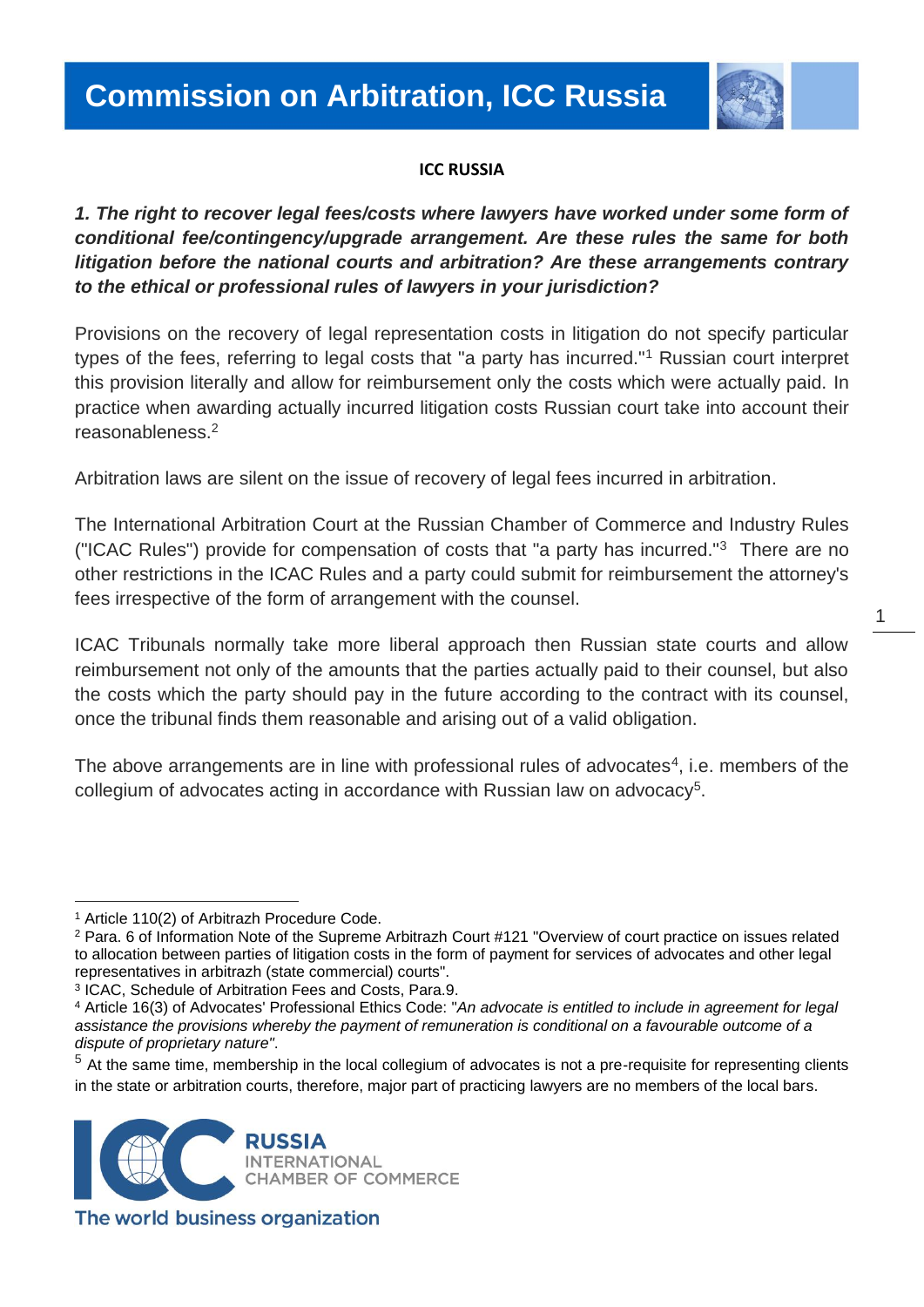

#### **ICC RUSSIA**

*1. The right to recover legal fees/costs where lawyers have worked under some form of conditional fee/contingency/upgrade arrangement. Are these rules the same for both litigation before the national courts and arbitration? Are these arrangements contrary to the ethical or professional rules of lawyers in your jurisdiction?*

Provisions on the recovery of legal representation costs in litigation do not specify particular types of the fees, referring to legal costs that "a party has incurred."<sup>1</sup> Russian court interpret this provision literally and allow for reimbursement only the costs which were actually paid. In practice when awarding actually incurred litigation costs Russian court take into account their reasonableness.<sup>2</sup>

Arbitration laws are silent on the issue of recovery of legal fees incurred in arbitration.

The International Arbitration Court at the Russian Chamber of Commerce and Industry Rules ("ICAC Rules") provide for compensation of costs that "a party has incurred."<sup>3</sup> There are no other restrictions in the ICAC Rules and a party could submit for reimbursement the attorney's fees irrespective of the form of arrangement with the counsel.

ICAC Tribunals normally take more liberal approach then Russian state courts and allow reimbursement not only of the amounts that the parties actually paid to their counsel, but also the costs which the party should pay in the future according to the contract with its counsel, once the tribunal finds them reasonable and arising out of a valid obligation.

The above arrangements are in line with professional rules of advocates $4$ , i.e. members of the collegium of advocates acting in accordance with Russian law on advocacy<sup>5</sup>.

 $<sup>5</sup>$  At the same time, membership in the local collegium of advocates is not a pre-requisite for representing clients</sup> in the state or arbitration courts, therefore, major part of practicing lawyers are no members of the local bars.



The world business organization

 $\overline{a}$ <sup>1</sup> Article 110(2) of Arbitrazh Procedure Code.

<sup>2</sup> Para. 6 of Information Note of the Supreme Arbitrazh Court #121 "Overview of court practice on issues related to allocation between parties of litigation costs in the form of payment for services of advocates and other legal representatives in arbitrazh (state commercial) courts".

<sup>3</sup> ICAC, Schedule of Arbitration Fees and Costs, Para.9.

<sup>4</sup> Article 16(3) of Advocates' Professional Ethics Code: "*An advocate is entitled to include in agreement for legal assistance the provisions whereby the payment of remuneration is conditional on a favourable outcome of a dispute of proprietary nature"*.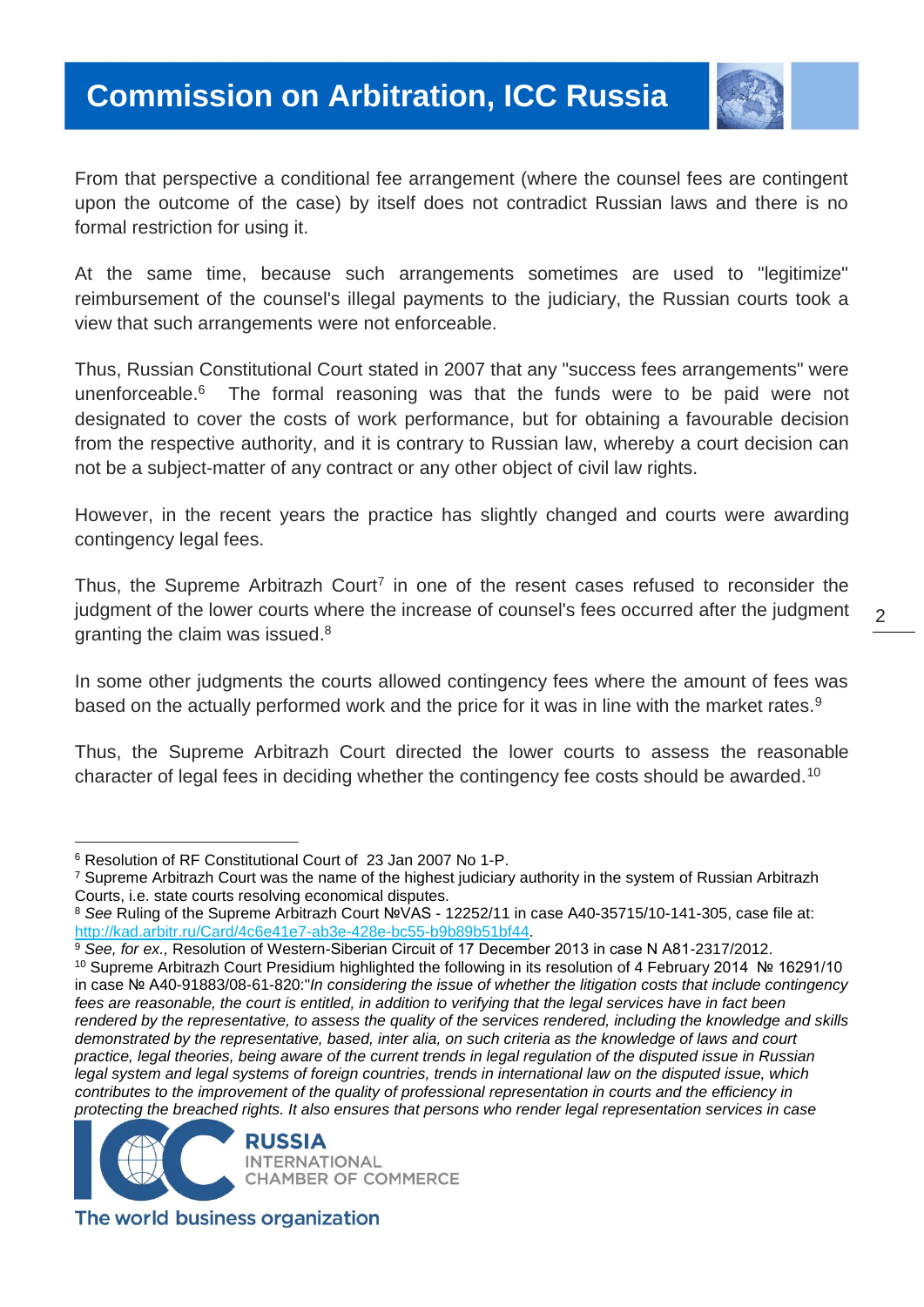# **Commission on Arbitration, ICC Russia**



From that perspective a conditional fee arrangement (where the counsel fees are contingent upon the outcome of the case) by itself does not contradict Russian laws and there is no formal restriction for using it.

At the same time, because such arrangements sometimes are used to "legitimize" reimbursement of the counsel's illegal payments to the judiciary, the Russian courts took a view that such arrangements were not enforceable.

Thus, Russian Constitutional Court stated in 2007 that any "success fees arrangements" were unenforceable.<sup>6</sup> The formal reasoning was that the funds were to be paid were not designated to cover the costs of work performance, but for obtaining a favourable decision from the respective authority, and it is contrary to Russian law, whereby a court decision can not be a subject-matter of any contract or any other object of civil law rights.

However, in the recent years the practice has slightly changed and courts were awarding contingency legal fees.

Thus, the Supreme Arbitrazh Court<sup>7</sup> in one of the resent cases refused to reconsider the judgment of the lower courts where the increase of counsel's fees occurred after the judgment granting the claim was issued.<sup>8</sup>

In some other judgments the courts allowed contingency fees where the amount of fees was based on the actually performed work and the price for it was in line with the market rates.<sup>9</sup>

Thus, the Supreme Arbitrazh Court directed the lower courts to assess the reasonable character of legal fees in deciding whether the contingency fee costs should be awarded.<sup>10</sup>

l

<sup>9</sup> *See, for ex.,* Resolution of Western-Siberian Circuit of 17 December 2013 in case N А81-2317/2012.

<sup>10</sup> Supreme Arbitrazh Court Presidium highlighted the following in its resolution of 4 February 2014 № 16291/10 in case № А40-91883/08-61-820:"*In considering the issue of whether the litigation costs that include contingency fees are reasonable, the court is entitled, in addition to verifying that the legal services have in fact been rendered by the representative, to assess the quality of the services rendered, including the knowledge and skills demonstrated by the representative, based, inter alia, on such criteria as the knowledge of laws and court practice, legal theories, being aware of the current trends in legal regulation of the disputed issue in Russian legal system and legal systems of foreign countries, trends in international law on the disputed issue, which contributes to the improvement of the quality of professional representation in courts and the efficiency in protecting the breached rights. It also ensures that persons who render legal representation services in case* 



The world business organization

<sup>6</sup> Resolution of RF Constitutional Court of 23 Jan 2007 No 1-P.

<sup>7</sup> Supreme Arbitrazh Court was the name of the highest judiciary authority in the system of Russian Arbitrazh Courts, i.e. state courts resolving economical disputes.

<sup>8</sup> *See* Ruling of the Supreme Arbitrazh Court №VAS - 12252/11 in case А40-35715/10-141-305, case file at: [http://kad.arbitr.ru/Card/4c6e41e7-ab3e-428e-bc55-b9b89b51bf44.](http://kad.arbitr.ru/Card/4c6e41e7-ab3e-428e-bc55-b9b89b51bf44)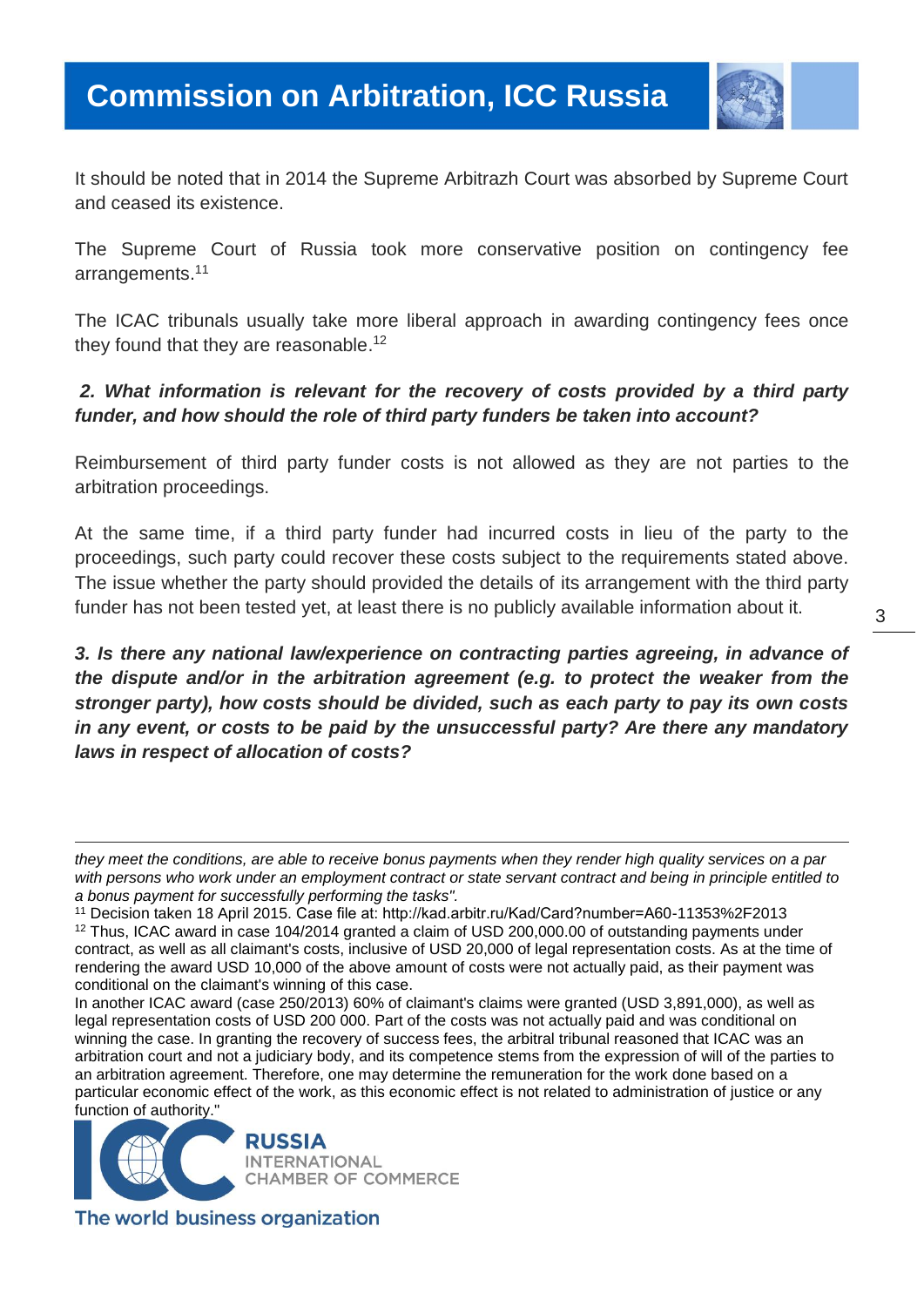

It should be noted that in 2014 the Supreme Arbitrazh Court was absorbed by Supreme Court and ceased its existence.

The Supreme Court of Russia took more conservative position on contingency fee arrangements. 11

The ICAC tribunals usually take more liberal approach in awarding contingency fees once they found that they are reasonable.<sup>12</sup>

### *2. What information is relevant for the recovery of costs provided by a third party funder, and how should the role of third party funders be taken into account?*

Reimbursement of third party funder costs is not allowed as they are not parties to the arbitration proceedings.

At the same time, if a third party funder had incurred costs in lieu of the party to the proceedings, such party could recover these costs subject to the requirements stated above. The issue whether the party should provided the details of its arrangement with the third party funder has not been tested yet, at least there is no publicly available information about it.

*3. Is there any national law/experience on contracting parties agreeing, in advance of the dispute and/or in the arbitration agreement (e.g. to protect the weaker from the stronger party), how costs should be divided, such as each party to pay its own costs in any event, or costs to be paid by the unsuccessful party? Are there any mandatory laws in respect of allocation of costs?*

In another ICAC award (case 250/2013) 60% of claimant's claims were granted (USD 3,891,000), as well as legal representation costs of USD 200 000. Part of the costs was not actually paid and was conditional on winning the case. In granting the recovery of success fees, the arbitral tribunal reasoned that ICAC was an arbitration court and not a judiciary body, and its competence stems from the expression of will of the parties to an arbitration agreement. Therefore, one may determine the remuneration for the work done based on a particular economic effect of the work, as this economic effect is not related to administration of justice or any function of authority."



The world business organization

l

*they meet the conditions, are able to receive bonus payments when they render high quality services on a par with persons who work under an employment contract or state servant contract and being in principle entitled to a bonus payment for successfully performing the tasks".*

<sup>11</sup> Decision taken 18 April 2015. Case file at: http://kad.arbitr.ru/Kad/Card?number=А60-11353%2F2013

<sup>12</sup> Thus, ICAC award in case 104/2014 granted a claim of USD 200,000.00 of outstanding payments under contract, as well as all claimant's costs, inclusive of USD 20,000 of legal representation costs. As at the time of rendering the award USD 10,000 of the above amount of costs were not actually paid, as their payment was conditional on the claimant's winning of this case.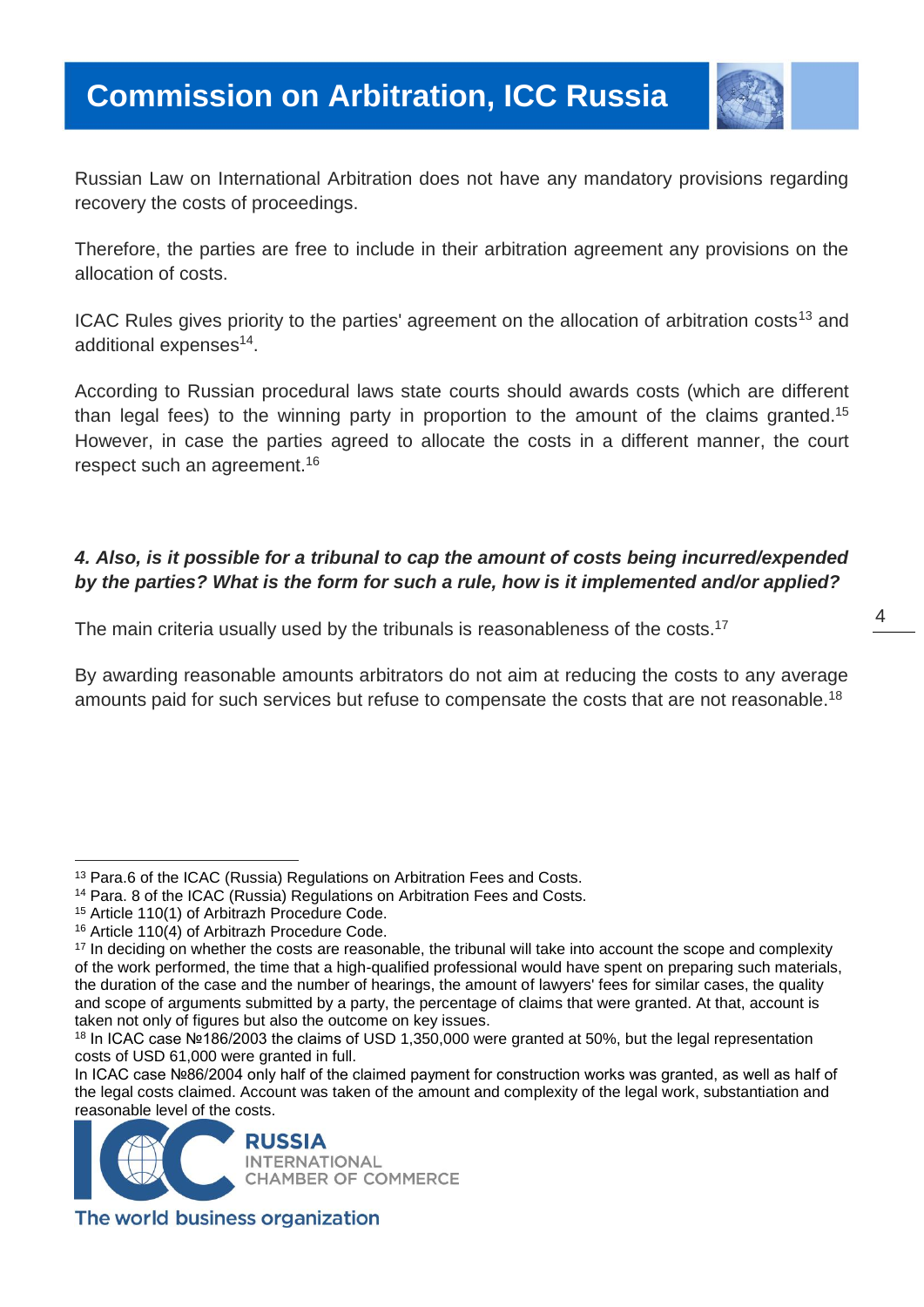

Russian Law on International Arbitration does not have any mandatory provisions regarding recovery the costs of proceedings.

Therefore, the parties are free to include in their arbitration agreement any provisions on the allocation of costs.

ICAC Rules gives priority to the parties' agreement on the allocation of arbitration costs<sup>13</sup> and additional expenses<sup>14</sup>.

According to Russian procedural laws state courts should awards costs (which are different than legal fees) to the winning party in proportion to the amount of the claims granted.<sup>15</sup> However, in case the parties agreed to allocate the costs in a different manner, the court respect such an agreement.<sup>16</sup>

## *4. Also, is it possible for a tribunal to cap the amount of costs being incurred/expended by the parties? What is the form for such a rule, how is it implemented and/or applied?*

The main criteria usually used by the tribunals is reasonableness of the costs.<sup>17</sup>

By awarding reasonable amounts arbitrators do not aim at reducing the costs to any average amounts paid for such services but refuse to compensate the costs that are not reasonable.<sup>18</sup>

l

In ICAC case №86/2004 only half of the claimed payment for construction works was granted, as well as half of the legal costs claimed. Account was taken of the amount and complexity of the legal work, substantiation and reasonable level of the costs.



The world business organization

<sup>&</sup>lt;sup>13</sup> Para.6 of the ICAC (Russia) Regulations on Arbitration Fees and Costs.

<sup>&</sup>lt;sup>14</sup> Para. 8 of the ICAC (Russia) Regulations on Arbitration Fees and Costs.

<sup>15</sup> Article 110(1) of Arbitrazh Procedure Code.

<sup>16</sup> Article 110(4) of Arbitrazh Procedure Code.

<sup>&</sup>lt;sup>17</sup> In deciding on whether the costs are reasonable, the tribunal will take into account the scope and complexity of the work performed, the time that a high-qualified professional would have spent on preparing such materials, the duration of the case and the number of hearings, the amount of lawyers' fees for similar cases, the quality and scope of arguments submitted by a party, the percentage of claims that were granted. At that, account is taken not only of figures but also the outcome on key issues.

<sup>18</sup> In ICAC case №186/2003 the claims of USD 1,350,000 were granted at 50%, but the legal representation costs of USD 61,000 were granted in full.